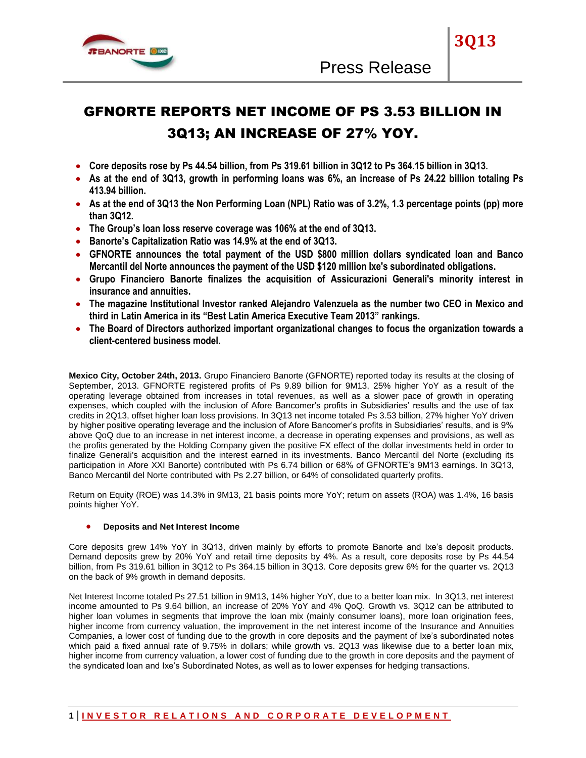

# GFNORTE REPORTS NET INCOME OF PS 3.53 BILLION IN 3Q13; AN INCREASE OF 27% YOY.

- **Core deposits rose by Ps 44.54 billion, from Ps 319.61 billion in 3Q12 to Ps 364.15 billion in 3Q13.**
- **As at the end of 3Q13, growth in performing loans was 6%, an increase of Ps 24.22 billion totaling Ps 413.94 billion.**
- **As at the end of 3Q13 the Non Performing Loan (NPL) Ratio was of 3.2%, 1.3 percentage points (pp) more than 3Q12.**
- **The Group's loan loss reserve coverage was 106% at the end of 3Q13.**
- **Banorte's Capitalization Ratio was 14.9% at the end of 3Q13.**
- **GFNORTE announces the total payment of the USD \$800 million dollars syndicated loan and Banco Mercantil del Norte announces the payment of the USD \$120 million Ixe's subordinated obligations.**
- **Grupo Financiero Banorte finalizes the acquisition of Assicurazioni Generali's minority interest in insurance and annuities.**
- **The magazine Institutional Investor ranked Alejandro Valenzuela as the number two CEO in Mexico and third in Latin America in its "Best Latin America Executive Team 2013" rankings.**
- **The Board of Directors authorized important organizational changes to focus the organization towards a client-centered business model.**

**Mexico City, October 24th, 2013.** Grupo Financiero Banorte (GFNORTE) reported today its results at the closing of September, 2013. GFNORTE registered profits of Ps 9.89 billion for 9M13, 25% higher YoY as a result of the operating leverage obtained from increases in total revenues, as well as a slower pace of growth in operating expenses, which coupled with the inclusion of Afore Bancomer"s profits in Subsidiaries" results and the use of tax credits in 2Q13, offset higher loan loss provisions. In 3Q13 net income totaled Ps 3.53 billion, 27% higher YoY driven by higher positive operating leverage and the inclusion of Afore Bancomer's profits in Subsidiaries' results, and is 9% above QoQ due to an increase in net interest income, a decrease in operating expenses and provisions, as well as the profits generated by the Holding Company given the positive FX effect of the dollar investments held in order to finalize Generali's acquisition and the interest earned in its investments. Banco Mercantil del Norte (excluding its participation in Afore XXI Banorte) contributed with Ps 6.74 billion or 68% of GFNORTE"s 9M13 earnings. In 3Q13, Banco Mercantil del Norte contributed with Ps 2.27 billion, or 64% of consolidated quarterly profits.

Return on Equity (ROE) was 14.3% in 9M13, 21 basis points more YoY; return on assets (ROA) was 1.4%, 16 basis points higher YoY.

# **Deposits and Net Interest Income**

Core deposits grew 14% YoY in 3Q13, driven mainly by efforts to promote Banorte and Ixe"s deposit products. Demand deposits grew by 20% YoY and retail time deposits by 4%. As a result, core deposits rose by Ps 44.54 billion, from Ps 319.61 billion in 3Q12 to Ps 364.15 billion in 3Q13. Core deposits grew 6% for the quarter vs. 2Q13 on the back of 9% growth in demand deposits.

Net Interest Income totaled Ps 27.51 billion in 9M13, 14% higher YoY, due to a better loan mix. In 3Q13, net interest income amounted to Ps 9.64 billion, an increase of 20% YoY and 4% QoQ. Growth vs. 3Q12 can be attributed to higher loan volumes in segments that improve the loan mix (mainly consumer loans), more loan origination fees, higher income from currency valuation, the improvement in the net interest income of the Insurance and Annuities Companies, a lower cost of funding due to the growth in core deposits and the payment of Ixe"s subordinated notes which paid a fixed annual rate of 9.75% in dollars; while growth vs. 2Q13 was likewise due to a better loan mix, higher income from currency valuation, a lower cost of funding due to the growth in core deposits and the payment of the syndicated loan and Ixe"s Subordinated Notes, as well as to lower expenses for hedging transactions.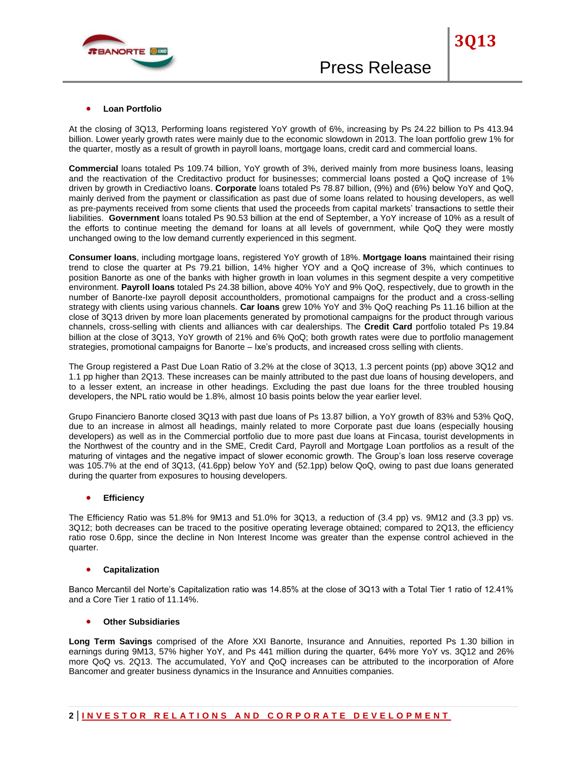

#### **Loan Portfolio**

At the closing of 3Q13, Performing loans registered YoY growth of 6%, increasing by Ps 24.22 billion to Ps 413.94 billion. Lower yearly growth rates were mainly due to the economic slowdown in 2013. The loan portfolio grew 1% for the quarter, mostly as a result of growth in payroll loans, mortgage loans, credit card and commercial loans.

**Commercial** loans totaled Ps 109.74 billion, YoY growth of 3%, derived mainly from more business loans, leasing and the reactivation of the Creditactivo product for businesses; commercial loans posted a QoQ increase of 1% driven by growth in Crediactivo loans. **Corporate** loans totaled Ps 78.87 billion, (9%) and (6%) below YoY and QoQ, mainly derived from the payment or classification as past due of some loans related to housing developers, as well as pre-payments received from some clients that used the proceeds from capital markets' transactions to settle their liabilities. **Government** loans totaled Ps 90.53 billion at the end of September, a YoY increase of 10% as a result of the efforts to continue meeting the demand for loans at all levels of government, while QoQ they were mostly unchanged owing to the low demand currently experienced in this segment.

**Consumer loans**, including mortgage loans, registered YoY growth of 18%. **Mortgage loans** maintained their rising trend to close the quarter at Ps 79.21 billion, 14% higher YOY and a QoQ increase of 3%, which continues to position Banorte as one of the banks with higher growth in loan volumes in this segment despite a very competitive environment. **Payroll loans** totaled Ps 24.38 billion, above 40% YoY and 9% QoQ, respectively, due to growth in the number of Banorte-Ixe payroll deposit accountholders, promotional campaigns for the product and a cross-selling strategy with clients using various channels. **Car loans** grew 10% YoY and 3% QoQ reaching Ps 11.16 billion at the close of 3Q13 driven by more loan placements generated by promotional campaigns for the product through various channels, cross-selling with clients and alliances with car dealerships. The **Credit Card** portfolio totaled Ps 19.84 billion at the close of 3Q13, YoY growth of 21% and 6% QoQ; both growth rates were due to portfolio management strategies, promotional campaigns for Banorte – Ixe's products, and increased cross selling with clients.

The Group registered a Past Due Loan Ratio of 3.2% at the close of 3Q13, 1.3 percent points (pp) above 3Q12 and 1.1 pp higher than 2Q13. These increases can be mainly attributed to the past due loans of housing developers, and to a lesser extent, an increase in other headings. Excluding the past due loans for the three troubled housing developers, the NPL ratio would be 1.8%, almost 10 basis points below the year earlier level.

Grupo Financiero Banorte closed 3Q13 with past due loans of Ps 13.87 billion, a YoY growth of 83% and 53% QoQ, due to an increase in almost all headings, mainly related to more Corporate past due loans (especially housing developers) as well as in the Commercial portfolio due to more past due loans at Fincasa, tourist developments in the Northwest of the country and in the SME, Credit Card, Payroll and Mortgage Loan portfolios as a result of the maturing of vintages and the negative impact of slower economic growth. The Group"s loan loss reserve coverage was 105.7% at the end of 3Q13, (41.6pp) below YoY and (52.1pp) below QoQ, owing to past due loans generated during the quarter from exposures to housing developers.

#### **Efficiency**

The Efficiency Ratio was 51.8% for 9M13 and 51.0% for 3Q13, a reduction of (3.4 pp) vs. 9M12 and (3.3 pp) vs. 3Q12; both decreases can be traced to the positive operating leverage obtained; compared to 2Q13, the efficiency ratio rose 0.6pp, since the decline in Non Interest Income was greater than the expense control achieved in the quarter.

#### **Capitalization**

Banco Mercantil del Norte's Capitalization ratio was 14.85% at the close of 3Q13 with a Total Tier 1 ratio of 12.41% and a Core Tier 1 ratio of 11.14%.

#### **Other Subsidiaries**

**Long Term Savings** comprised of the Afore XXI Banorte, Insurance and Annuities, reported Ps 1.30 billion in earnings during 9M13, 57% higher YoY, and Ps 441 million during the quarter, 64% more YoY vs. 3Q12 and 26% more QoQ vs. 2Q13. The accumulated, YoY and QoQ increases can be attributed to the incorporation of Afore Bancomer and greater business dynamics in the Insurance and Annuities companies.

# **2 | I N V E S T O R R E L A T I O N S A N D C O R P O R A T E D E V E L O P M E N T**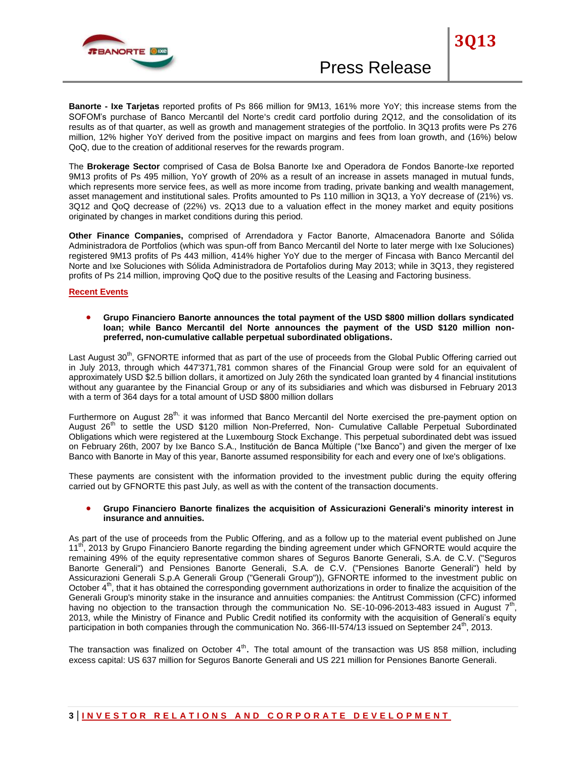

**Banorte - Ixe Tarjetas** reported profits of Ps 866 million for 9M13, 161% more YoY; this increase stems from the SOFOM"s purchase of Banco Mercantil del Norte's credit card portfolio during 2Q12, and the consolidation of its results as of that quarter, as well as growth and management strategies of the portfolio. In 3Q13 profits were Ps 276 million, 12% higher YoY derived from the positive impact on margins and fees from loan growth, and (16%) below QoQ, due to the creation of additional reserves for the rewards program.

The **Brokerage Sector** comprised of Casa de Bolsa Banorte Ixe and Operadora de Fondos Banorte-Ixe reported 9M13 profits of Ps 495 million, YoY growth of 20% as a result of an increase in assets managed in mutual funds, which represents more service fees, as well as more income from trading, private banking and wealth management, asset management and institutional sales. Profits amounted to Ps 110 million in 3Q13, a YoY decrease of (21%) vs. 3Q12 and QoQ decrease of (22%) vs. 2Q13 due to a valuation effect in the money market and equity positions originated by changes in market conditions during this period.

**Other Finance Companies,** comprised of Arrendadora y Factor Banorte, Almacenadora Banorte and Sólida Administradora de Portfolios (which was spun-off from Banco Mercantil del Norte to later merge with Ixe Soluciones) registered 9M13 profits of Ps 443 million, 414% higher YoY due to the merger of Fincasa with Banco Mercantil del Norte and Ixe Soluciones with Sólida Administradora de Portafolios during May 2013; while in 3Q13, they registered profits of Ps 214 million, improving QoQ due to the positive results of the Leasing and Factoring business.

#### **Recent Events**

 **Grupo Financiero Banorte announces the total payment of the USD \$800 million dollars syndicated loan; while Banco Mercantil del Norte announces the payment of the USD \$120 million nonpreferred, non-cumulative callable perpetual subordinated obligations.**

Last August 30<sup>th</sup>, GFNORTE informed that as part of the use of proceeds from the Global Public Offering carried out in July 2013, through which 447'371,781 common shares of the Financial Group were sold for an equivalent of approximately USD \$2.5 billion dollars, it amortized on July 26th the syndicated loan granted by 4 financial institutions without any guarantee by the Financial Group or any of its subsidiaries and which was disbursed in February 2013 with a term of 364 days for a total amount of USD \$800 million dollars

Furthermore on August 28<sup>th,</sup> it was informed that Banco Mercantil del Norte exercised the pre-payment option on August 26<sup>th</sup> to settle the USD \$120 million Non-Preferred, Non- Cumulative Callable Perpetual Subordinated Obligations which were registered at the Luxembourg Stock Exchange. This perpetual subordinated debt was issued on February 26th, 2007 by Ixe Banco S.A., Institución de Banca Múltiple ("Ixe Banco") and given the merger of Ixe Banco with Banorte in May of this year, Banorte assumed responsibility for each and every one of Ixe's obligations.

These payments are consistent with the information provided to the investment public during the equity offering carried out by GFNORTE this past July, as well as with the content of the transaction documents.

#### **Grupo Financiero Banorte finalizes the acquisition of Assicurazioni Generali's minority interest in insurance and annuities.**

As part of the use of proceeds from the Public Offering, and as a follow up to the material event published on June 11<sup>th</sup>, 2013 by Grupo Financiero Banorte regarding the binding agreement under which GFNORTE would acquire the remaining 49% of the equity representative common shares of Seguros Banorte Generali, S.A. de C.V. ("Seguros Banorte Generali") and Pensiones Banorte Generali, S.A. de C.V. ("Pensiones Banorte Generali") held by Assicurazioni Generali S.p.A Generali Group ("Generali Group")), GFNORTE informed to the investment public on October 4<sup>th</sup>, that it has obtained the corresponding government authorizations in order to finalize the acquisition of the Generali Group's minority stake in the insurance and annuities companies: the Antitrust Commission (CFC) informed having no objection to the transaction through the communication No. SE-10-096-2013-483 issued in August 7<sup>th</sup>, 2013, while the Ministry of Finance and Public Credit notified its conformity with the acquisition of Generali"s equity participation in both companies through the communication No. 366-III-574/13 issued on September  $24^{\text{th}}$ , 2013.

The transaction was finalized on October  $4<sup>th</sup>$ . The total amount of the transaction was US 858 million, including excess capital: US 637 million for Seguros Banorte Generali and US 221 million for Pensiones Banorte Generali.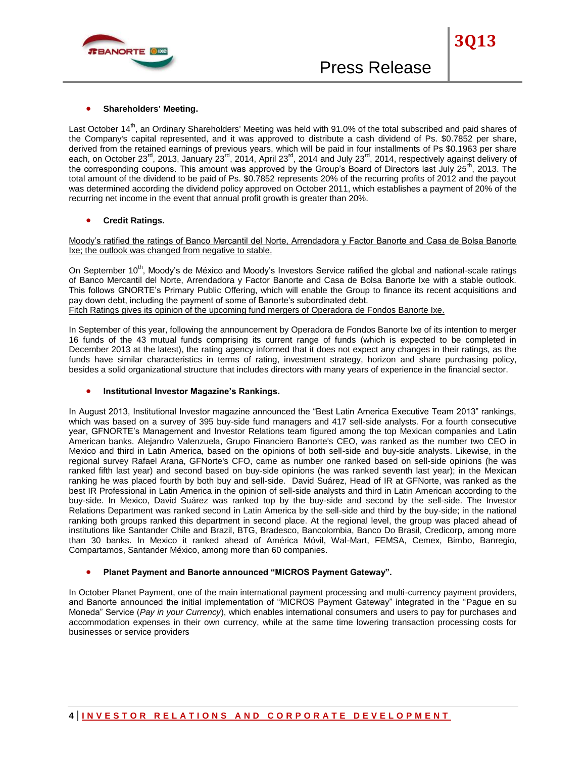

Last October 14<sup>th</sup>, an Ordinary Shareholders' Meeting was held with 91.0% of the total subscribed and paid shares of the Company's capital represented, and it was approved to distribute a cash dividend of Ps. \$0.7852 per share, derived from the retained earnings of previous years, which will be paid in four installments of Ps \$0.1963 per share each, on October 23<sup>rd</sup>, 2013, January 23<sup>rd</sup>, 2014, April 23<sup>rd</sup>, 2014 and July 23<sup>rd</sup>, 2014, respectively against delivery of the corresponding coupons. This amount was approved by the Group's Board of Directors last July 25<sup>th</sup>, 2013. The total amount of the dividend to be paid of Ps. \$0.7852 represents 20% of the recurring profits of 2012 and the payout was determined according the dividend policy approved on October 2011, which establishes a payment of 20% of the recurring net income in the event that annual profit growth is greater than 20%.

# **Credit Ratings.**

Moody"s ratified the ratings of Banco Mercantil del Norte, Arrendadora y Factor Banorte and Casa de Bolsa Banorte Ixe; the outlook was changed from negative to stable.

On September 10<sup>th</sup>, Moody's de México and Moody's Investors Service ratified the global and national-scale ratings of Banco Mercantil del Norte, Arrendadora y Factor Banorte and Casa de Bolsa Banorte Ixe with a stable outlook. This follows GNORTE"s Primary Public Offering, which will enable the Group to finance its recent acquisitions and pay down debt, including the payment of some of Banorte's subordinated debt.

Fitch Ratings gives its opinion of the upcoming fund mergers of Operadora de Fondos Banorte Ixe.

In September of this year, following the announcement by Operadora de Fondos Banorte Ixe of its intention to merger 16 funds of the 43 mutual funds comprising its current range of funds (which is expected to be completed in December 2013 at the latest), the rating agency informed that it does not expect any changes in their ratings, as the funds have similar characteristics in terms of rating, investment strategy, horizon and share purchasing policy, besides a solid organizational structure that includes directors with many years of experience in the financial sector.

# **Institutional Investor Magazine's Rankings.**

In August 2013, Institutional Investor magazine announced the "Best Latin America Executive Team 2013" rankings, which was based on a survey of 395 buy-side fund managers and 417 sell-side analysts. For a fourth consecutive year, GFNORTE"s Management and Investor Relations team figured among the top Mexican companies and Latin American banks. Alejandro Valenzuela, Grupo Financiero Banorte's CEO, was ranked as the number two CEO in Mexico and third in Latin America, based on the opinions of both sell-side and buy-side analysts. Likewise, in the regional survey Rafael Arana, GFNorte's CFO, came as number one ranked based on sell-side opinions (he was ranked fifth last year) and second based on buy-side opinions (he was ranked seventh last year); in the Mexican ranking he was placed fourth by both buy and sell-side. David Suárez, Head of IR at GFNorte, was ranked as the best IR Professional in Latin America in the opinion of sell-side analysts and third in Latin American according to the buy-side. In Mexico, David Suárez was ranked top by the buy-side and second by the sell-side. The Investor Relations Department was ranked second in Latin America by the sell-side and third by the buy-side; in the national ranking both groups ranked this department in second place. At the regional level, the group was placed ahead of institutions like Santander Chile and Brazil, BTG, Bradesco, Bancolombia, Banco Do Brasil, Credicorp, among more than 30 banks. In Mexico it ranked ahead of América Móvil, Wal-Mart, FEMSA, Cemex, Bimbo, Banregio, Compartamos, Santander México, among more than 60 companies.

# **Planet Payment and Banorte announced "MICROS Payment Gateway".**

In October Planet Payment, one of the main international payment processing and multi-currency payment providers, and Banorte announced the initial implementation of "MICROS Payment Gateway" integrated in the "Pague en su Moneda" Service (*Pay in your Currency*), which enables international consumers and users to pay for purchases and accommodation expenses in their own currency, while at the same time lowering transaction processing costs for businesses or service providers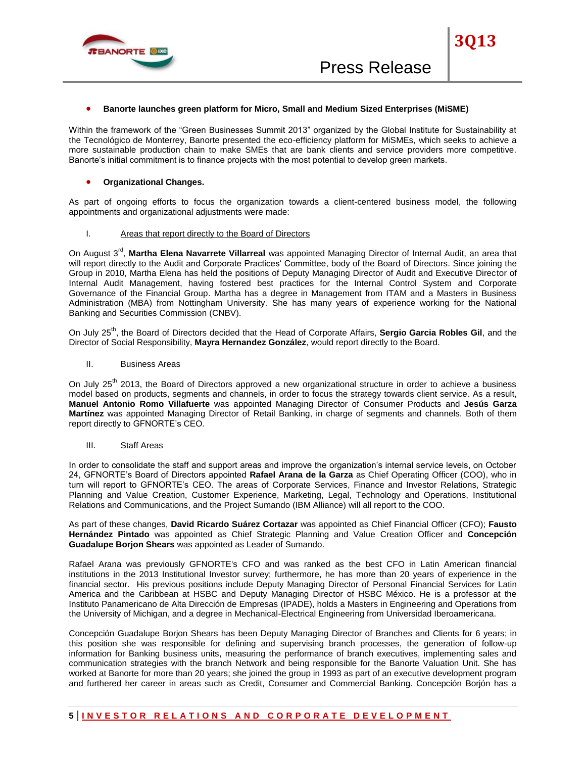

#### **Banorte launches green platform for Micro, Small and Medium Sized Enterprises (MiSME)**

Within the framework of the "Green Businesses Summit 2013" organized by the Global Institute for Sustainability at the Tecnológico de Monterrey, Banorte presented the eco-efficiency platform for MiSMEs, which seeks to achieve a more sustainable production chain to make SMEs that are bank clients and service providers more competitive. Banorte's initial commitment is to finance projects with the most potential to develop green markets.

#### **Organizational Changes.**

As part of ongoing efforts to focus the organization towards a client-centered business model, the following appointments and organizational adjustments were made:

#### I. Areas that report directly to the Board of Directors

On August 3<sup>rd</sup>, Martha Elena Navarrete Villarreal was appointed Managing Director of Internal Audit, an area that will report directly to the Audit and Corporate Practices' Committee, body of the Board of Directors. Since joining the Group in 2010, Martha Elena has held the positions of Deputy Managing Director of Audit and Executive Director of Internal Audit Management, having fostered best practices for the Internal Control System and Corporate Governance of the Financial Group. Martha has a degree in Management from ITAM and a Masters in Business Administration (MBA) from Nottingham University. She has many years of experience working for the National Banking and Securities Commission (CNBV).

On July 25<sup>th</sup>, the Board of Directors decided that the Head of Corporate Affairs, Sergio Garcia Robles Gil, and the Director of Social Responsibility, **Mayra Hernandez González**, would report directly to the Board.

II. Business Areas

On July 25<sup>th</sup> 2013, the Board of Directors approved a new organizational structure in order to achieve a business model based on products, segments and channels, in order to focus the strategy towards client service. As a result, **Manuel Antonio Romo Villafuerte** was appointed Managing Director of Consumer Products and **Jesús Garza Martínez** was appointed Managing Director of Retail Banking, in charge of segments and channels. Both of them report directly to GFNORTE's CEO.

#### III. Staff Areas

In order to consolidate the staff and support areas and improve the organization"s internal service levels, on October 24, GFNORTE"s Board of Directors appointed **Rafael Arana de la Garza** as Chief Operating Officer (COO), who in turn will report to GFNORTE"s CEO. The areas of Corporate Services, Finance and Investor Relations, Strategic Planning and Value Creation, Customer Experience, Marketing, Legal, Technology and Operations, Institutional Relations and Communications, and the Project Sumando (IBM Alliance) will all report to the COO.

As part of these changes, **David Ricardo Suárez Cortazar** was appointed as Chief Financial Officer (CFO); **Fausto Hernández Pintado** was appointed as Chief Strategic Planning and Value Creation Officer and **Concepción Guadalupe Borjon Shears** was appointed as Leader of Sumando.

Rafael Arana was previously GFNORTE's CFO and was ranked as the best CFO in Latin American financial institutions in the 2013 Institutional Investor survey; furthermore, he has more than 20 years of experience in the financial sector. His previous positions include Deputy Managing Director of Personal Financial Services for Latin America and the Caribbean at HSBC and Deputy Managing Director of HSBC México. He is a professor at the Instituto Panamericano de Alta Dirección de Empresas (IPADE), holds a Masters in Engineering and Operations from the University of Michigan, and a degree in Mechanical-Electrical Engineering from Universidad Iberoamericana.

Concepción Guadalupe Borjon Shears has been Deputy Managing Director of Branches and Clients for 6 years; in this position she was responsible for defining and supervising branch processes, the generation of follow-up information for Banking business units, measuring the performance of branch executives, implementing sales and communication strategies with the branch Network and being responsible for the Banorte Valuation Unit. She has worked at Banorte for more than 20 years; she joined the group in 1993 as part of an executive development program and furthered her career in areas such as Credit, Consumer and Commercial Banking. Concepción Borjón has a